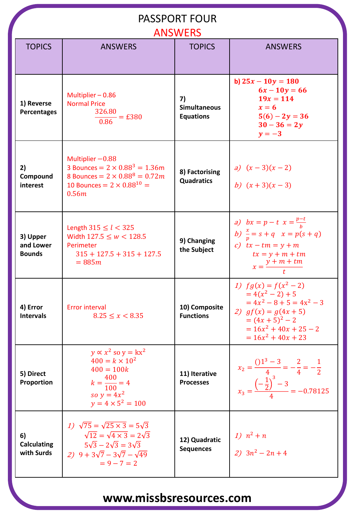| <b>PASSPORT FOUR</b><br><b>ANSWERS</b> |                                                                                                                                                                                                      |                                               |                                                                                                                                                                          |  |
|----------------------------------------|------------------------------------------------------------------------------------------------------------------------------------------------------------------------------------------------------|-----------------------------------------------|--------------------------------------------------------------------------------------------------------------------------------------------------------------------------|--|
| <b>TOPICS</b>                          | <b>ANSWERS</b>                                                                                                                                                                                       | <b>TOPICS</b>                                 | <b>ANSWERS</b>                                                                                                                                                           |  |
| 1) Reverse<br><b>Percentages</b>       | Multiplier-0.86<br><b>Normal Price</b><br>326.80<br>$\frac{25.000}{0.86}$ = £380                                                                                                                     | 7)<br><b>Simultaneous</b><br><b>Equations</b> | b) $25x - 10y = 180$<br>$6x - 10y = 66$<br>$19x = 114$<br>$x=6$<br>$5(6) - 2y = 36$<br>$30 - 36 = 2y$<br>$y=-3$                                                          |  |
| 2)<br>Compound<br>interest             | Multiplier $-0.88$<br>3 Bounces = $2 \times 0.88^3 = 1.36$ m<br>8 Bounces = $2 \times 0.88^8 = 0.72m$<br>10 Bounces = $2 \times 0.88^{10}$ =<br>0.56m                                                | 8) Factorising<br><b>Quadratics</b>           | a) $(x-3)(x-2)$<br>b) $(x+3)(x-3)$                                                                                                                                       |  |
| 3) Upper<br>and Lower<br><b>Bounds</b> | Length $315 \le l < 325$<br>Width $127.5 \leq w < 128.5$<br>Perimeter<br>$315 + 127.5 + 315 + 127.5$<br>$= 885m$                                                                                     | 9) Changing<br>the Subject                    | a) $bx = p - t$ $x = \frac{p - t}{h}$<br>b) $\frac{x}{p} = s + q$ $x = p(s + q)$<br>c) $tx - tm = y + m$<br>$tx = y + m + tm$<br>$x = \frac{y + m + tm}{2}$              |  |
| 4) Error<br><b>Intervals</b>           | <b>Error interval</b><br>$8.25 \leq x < 8.35$                                                                                                                                                        | 10) Composite<br><b>Functions</b>             | 1) $fg(x) = f(x^2 - 2)$<br>$=4(x^{2}-2)+5$<br>$= 4x^2 - 8 + 5 = 4x^2 - 3$<br>2) $gf(x) = g(4x + 5)$<br>$=(4x+5)^2-2$<br>$= 16x^2 + 40x + 25 - 2$<br>$= 16x^2 + 40x + 23$ |  |
| 5) Direct<br>Proportion                | $y \propto x^2$ so $y = kx^2$<br>$400 = k \times 10^2$<br>$400 = 100k$<br>$k = \frac{400}{100} = 4$<br>so $y = 4x^2$<br>$y = 4 \times 5^2 = 100$                                                     | 11) Iterative<br><b>Processes</b>             | $x_2 = \frac{01^3 - 3}{4} = -\frac{2}{4} = -\frac{1}{2}$<br>$x_3 = \frac{\left(-\frac{1}{2}\right)^3 - 3}{4} = -0.78125$                                                 |  |
| 6)<br><b>Calculating</b><br>with Surds | 1) $\sqrt{75} = \sqrt{25 \times 3} = 5\sqrt{3}$<br>$\sqrt{12} = \sqrt{4 \times 3} = 2\sqrt{3}$<br>$5\sqrt{3} - 2\sqrt{3} = 3\sqrt{3}$<br>2) $9 + 3\sqrt{7} - 3\sqrt{7} - \sqrt{49}$<br>$= 9 - 7 = 2$ | 12) Quadratic<br><b>Sequences</b>             | 1) $n^2 + n$<br>2) $3n^2 - 2n + 4$                                                                                                                                       |  |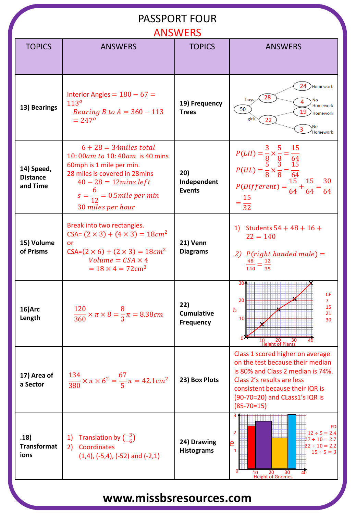#### PASSPORT FOUR

|                                           |                                                                                                                                                                                                                    | <b>ANSWERS</b>                               |                                                                                                                                                                                                                                  |
|-------------------------------------------|--------------------------------------------------------------------------------------------------------------------------------------------------------------------------------------------------------------------|----------------------------------------------|----------------------------------------------------------------------------------------------------------------------------------------------------------------------------------------------------------------------------------|
| <b>TOPICS</b>                             | <b>ANSWERS</b>                                                                                                                                                                                                     | <b>TOPICS</b>                                | <b>ANSWERS</b>                                                                                                                                                                                                                   |
|                                           |                                                                                                                                                                                                                    |                                              |                                                                                                                                                                                                                                  |
|                                           |                                                                                                                                                                                                                    |                                              |                                                                                                                                                                                                                                  |
| 13) Bearings                              | Interior Angles = $180 - 67$ =<br>113 <sup>o</sup><br><i>Bearing B to A = 360 - 113</i><br>$= 247^{\circ}$                                                                                                         | 19) Frequency<br><b>Trees</b>                | 24<br>Homework)<br>28<br>boys<br>No<br>Homework<br>50<br>19<br>Homework<br>girls<br>22<br>No<br>3<br><b>Homework</b>                                                                                                             |
| 14) Speed,<br><b>Distance</b><br>and Time | $6 + 28 = 34$ miles total<br>10:00am to 10:40am is 40 mins<br>60mph is 1 mile per min.<br>28 miles is covered in 28 mins<br>$40 - 28 = 12 mins$ left<br>$s = \frac{6}{12} = 0.5$ mile per min<br>30 miles per hour | 20)<br>Independent<br><b>Events</b>          | $P(LH) = \frac{3}{8} \times \frac{5}{8} = \frac{15}{64}$<br>$P(HL) = \frac{5}{8} \times \frac{3}{8} = \frac{15}{64}$<br>$P(Different) = \frac{15}{64} + \frac{15}{64} = \frac{30}{64}$<br>$=\frac{15}{32}$                       |
| 15) Volume<br>of Prisms                   | Break into two rectangles.<br>$CSA = (2 \times 3) + (4 \times 3) = 18cm^2$<br>or<br>$CSA=(2\times 6)+(2\times 3)=18cm^2$<br>Volume = $CSA \times 4$<br>$= 18 \times 4 = 72 \text{cm}^3$                            | 21) Venn<br><b>Diagrams</b>                  | 1) Students $54 + 48 + 16 +$<br>$22 = 140$<br>2) $P(\text{right handed male}) =$<br>$\frac{48}{140} = \frac{12}{35}$                                                                                                             |
| 16)Arc<br>Length                          | $\frac{120}{360} \times \pi \times 8 = \frac{8}{3}\pi = 8.38cm$                                                                                                                                                    | 22)<br><b>Cumulative</b><br><b>Frequency</b> | 304<br><b>CF</b><br>20<br>$\overline{7}$<br>15<br>෪<br>21<br>10<br>30<br>20<br>30<br>10<br>40<br><b>Height of Plants</b>                                                                                                         |
| 17) Area of<br>a Sector                   | $\frac{134}{380} \times \pi \times 6^2 = \frac{67}{5} \pi = 42.1 cm^2$                                                                                                                                             | 23) Box Plots                                | Class 1 scored higher on average<br>on the test because their median<br>is 80% and Class 2 median is 74%.<br>Class 2's results are less<br>consistent because their IQR is<br>(90-70=20) and CLass1's IQR is<br>$(85 - 70 = 15)$ |
| .18)<br><b>Transformat</b><br>ions        | Translation by $\binom{-3}{-6}$<br>1)<br>Coordinates<br>2)<br>$(1,4)$ , $(-5,4)$ , $(-52)$ and $(-2,1)$                                                                                                            | 24) Drawing<br><b>Histograms</b>             | 34<br>FD<br>$\overline{2}$<br>$12 \div 5 = 2.4$<br>$27 \div 10 = 2.7$<br>₽<br>$22 \div 10 = 2.2$<br>$\mathbf{1}$<br>$15 \div 5 = 3$<br>30<br>10<br>20<br><b>Height of Gnomes</b>                                                 |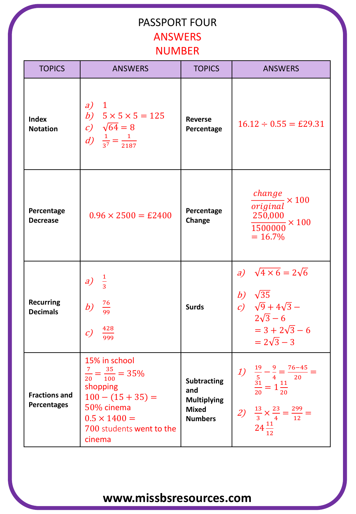#### PASSPORT FOUR ANSWERS NUMBER

| <b>TOPICS</b>                              | <b>ANSWERS</b>                                                                                                                                                        | <b>TOPICS</b>                                                                     | <b>ANSWERS</b>                                                                                                                                                |
|--------------------------------------------|-----------------------------------------------------------------------------------------------------------------------------------------------------------------------|-----------------------------------------------------------------------------------|---------------------------------------------------------------------------------------------------------------------------------------------------------------|
| <b>Index</b><br><b>Notation</b>            | a)<br>$\blacksquare$<br>b) $5 \times 5 \times 5 = 125$<br>c) $\sqrt{64} = 8$<br>d) $\frac{1}{3^7} = \frac{1}{2187}$                                                   | <b>Reverse</b><br>Percentage                                                      | $16.12 \div 0.55 = \text{\pounds}29.31$                                                                                                                       |
| Percentage<br><b>Decrease</b>              | $0.96 \times 2500 = \text{\pounds}2400$                                                                                                                               | Percentage<br>Change                                                              | $\frac{change}{1} \times 100$<br>original<br>250,000<br>$\frac{1}{1500000} \times 100$<br>$= 16.7\%$                                                          |
| <b>Recurring</b><br><b>Decimals</b>        | $\frac{1}{3}$<br>a)<br>$\frac{76}{99}$<br>b)<br>428<br>$\mathcal{C}$<br>999                                                                                           | <b>Surds</b>                                                                      | a) $\sqrt{4 \times 6} = 2\sqrt{6}$<br>b) $\sqrt{35}$<br>c) $\sqrt{9} + 4\sqrt{3} -$<br>$2\sqrt{3} - 6$<br>$= 3 + 2\sqrt{3} - 6$<br>$= 2\sqrt{3} - 3$          |
| <b>Fractions and</b><br><b>Percentages</b> | 15% in school<br>$\frac{7}{20} = \frac{35}{100} = 35\%$<br>shopping<br>$100 - (15 + 35) =$<br>50% cinema<br>$0.5 \times 1400 =$<br>700 students went to the<br>cinema | <b>Subtracting</b><br>and<br><b>Multiplying</b><br><b>Mixed</b><br><b>Numbers</b> | $-76 - 45$<br>1)<br>$\frac{12}{5} - 4$<br>$\frac{31}{2} = 1\frac{11}{20}$<br>$\frac{13}{3} \times \frac{23}{4} = \frac{299}{12} =$<br>2)<br>$24\frac{11}{12}$ |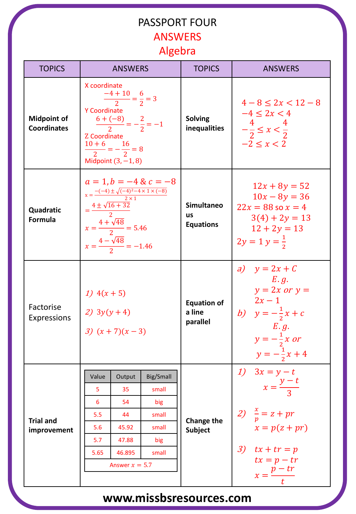#### PASSPORT FOUR **ANSWERS** Algebra

| <b>TOPICS</b>                            | <b>ANSWERS</b>                                                                                                                                                                                                      |                  |           | <b>TOPICS</b>                                      | <b>ANSWERS</b>                                                                                                                              |
|------------------------------------------|---------------------------------------------------------------------------------------------------------------------------------------------------------------------------------------------------------------------|------------------|-----------|----------------------------------------------------|---------------------------------------------------------------------------------------------------------------------------------------------|
| <b>Midpoint of</b><br><b>Coordinates</b> | X coordinate<br>$\frac{-4+10}{2} = \frac{6}{2} = 3$<br>Y Coordinate<br>$\frac{6+(-8)}{2}=-\frac{2}{2}=-1$<br>Z Coordinate<br>$\frac{10+6}{2} = -\frac{16}{2} = 8$<br>Midpoint $(3, -1, 8)$                          |                  |           | <b>Solving</b><br>inequalities                     | $4-8 \leq 2x < 12-8$<br>$-4 \leq 2x < 4$<br>$-\frac{4}{2} \leq x < \frac{4}{2}$<br>$-2 \leq x < 2$                                          |
| Quadratic<br><b>Formula</b>              | $a = 1, b = -4$ & $c = -8$<br>$x = \frac{-(-4) \pm \sqrt{(-4)^2 - 4 \times 1 \times (-8)}}{2 \times 1}$<br>$=\frac{4\pm\sqrt{16+32}}{2}$<br>$x = \frac{4 + \sqrt{48}}{2} = 5.46$<br>$x=\frac{4-\sqrt{48}}{2}=-1.46$ |                  |           | <b>Simultaneo</b><br><b>us</b><br><b>Equations</b> | $12x + 8y = 52$<br>$10x - 8y = 36$<br>$22x = 88$ so $x = 4$<br>$3(4) + 2y = 13$<br>$12 + 2y = 13$<br>$2y = 1 y = \frac{1}{2}$               |
| Factorise<br>Expressions                 | 1) $4(x + 5)$<br>2) $3y(y+4)$<br>3) $(x + 7)(x - 3)$                                                                                                                                                                |                  |           | <b>Equation of</b><br>a line<br>parallel           | a) $y = 2x + C$<br>E.g.<br>$y = 2x$ or $y =$<br>$2x-1$<br>b) $y = -\frac{1}{2}x + c$<br>E.g.<br>$y=-\frac{1}{2}x$ or<br>$y=-\frac{1}{2}x+4$ |
|                                          | Value                                                                                                                                                                                                               | Output           | Big/Small |                                                    | 1) $3x = y - t$                                                                                                                             |
|                                          | 5                                                                                                                                                                                                                   | 35               | small     |                                                    | $x = \frac{y-t}{3}$                                                                                                                         |
|                                          | 6                                                                                                                                                                                                                   | 54               | big       | Change the<br><b>Subject</b>                       |                                                                                                                                             |
| <b>Trial and</b>                         | 5.5                                                                                                                                                                                                                 | 44               | small     |                                                    | 2) $\frac{x}{p} = z + pr$<br>$x = p(z + pr)$                                                                                                |
| improvement                              | 5.6                                                                                                                                                                                                                 | 45.92            | small     |                                                    |                                                                                                                                             |
|                                          | 5.7                                                                                                                                                                                                                 | 47.88            | big       |                                                    |                                                                                                                                             |
|                                          | 5.65                                                                                                                                                                                                                | 46.895           | small     |                                                    | 3) $tx + tr = p$<br>$tx = p - tr$                                                                                                           |
|                                          |                                                                                                                                                                                                                     | Answer $x = 5.7$ |           |                                                    | $x=\frac{p-tr}{t}$                                                                                                                          |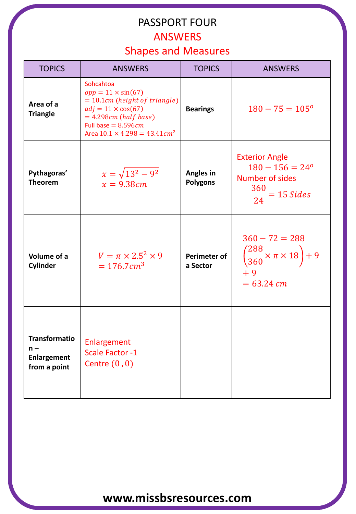# PASSPORT FOUR

#### ANSWERS

#### Shapes and Measures

| <b>TOPICS</b>                                                       | <b>ANSWERS</b>                                                                                                                                                                                                  | <b>TOPICS</b>                   | <b>ANSWERS</b>                                                                                                  |
|---------------------------------------------------------------------|-----------------------------------------------------------------------------------------------------------------------------------------------------------------------------------------------------------------|---------------------------------|-----------------------------------------------------------------------------------------------------------------|
| Area of a<br><b>Triangle</b>                                        | Sohcahtoa<br>$opp = 11 \times sin(67)$<br>$= 10.1$ cm (height of triangle)<br>$adj = 11 \times cos(67)$<br>$= 4.298cm$ (half base)<br>Full base = $8.596cm$<br>Area $10.1 \times 4.298 = 43.41$ cm <sup>2</sup> | <b>Bearings</b>                 | $180 - 75 = 105^{\circ}$                                                                                        |
| Pythagoras'<br><b>Theorem</b>                                       | $x = \sqrt{13^2 - 9^2}$<br>$x = 9.38cm$                                                                                                                                                                         | Angles in<br><b>Polygons</b>    | <b>Exterior Angle</b><br>$180 - 156 = 24^{\circ}$<br><b>Number of sides</b><br>360<br>$\frac{1}{24}$ = 15 Sides |
| Volume of a<br>Cylinder                                             | $V = \pi \times 2.5^2 \times 9$<br>$= 176.7 \text{ cm}^3$                                                                                                                                                       | <b>Perimeter of</b><br>a Sector | $360 - 72 = 288$<br>$\left(\frac{288}{360} \times \pi \times 18\right) + 9$<br>$+9$<br>$= 63.24$ cm             |
| <b>Transformatio</b><br>$n -$<br><b>Enlargement</b><br>from a point | Enlargement<br><b>Scale Factor -1</b><br>Centre $(0,0)$                                                                                                                                                         |                                 |                                                                                                                 |